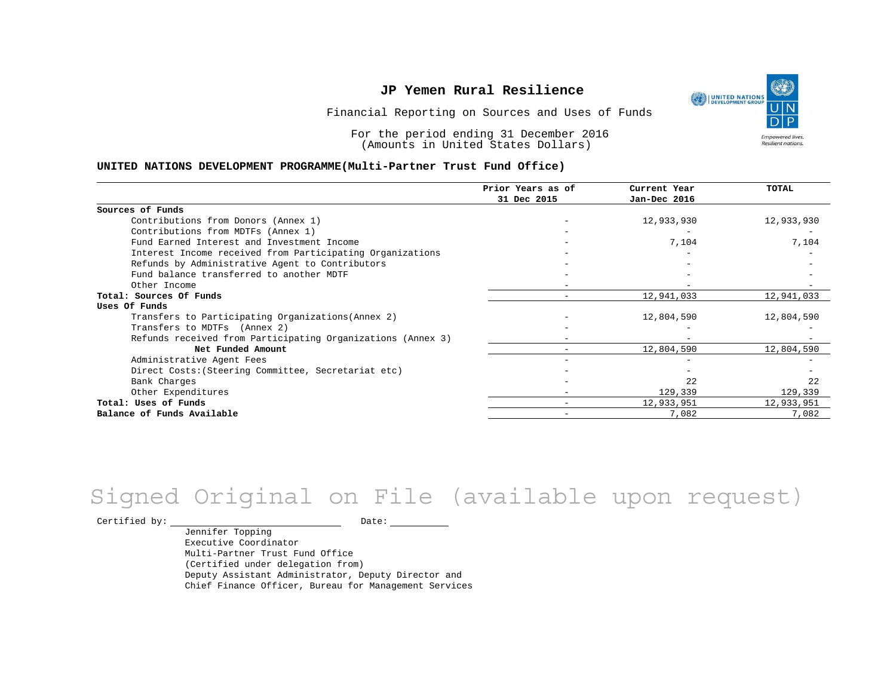UNITED NATIONS **Empowered lives** Resilient nations.

Financial Reporting on Sources and Uses of Funds

For the period ending 31 December 2016 (Amounts in United States Dollars)

#### **UNITED NATIONS DEVELOPMENT PROGRAMME(Multi-Partner Trust Fund Office)**

|                                                             | Prior Years as of | Current Year | TOTAL      |
|-------------------------------------------------------------|-------------------|--------------|------------|
|                                                             | 31 Dec 2015       | Jan-Dec 2016 |            |
| Sources of Funds                                            |                   |              |            |
| Contributions from Donors (Annex 1)                         |                   | 12,933,930   | 12,933,930 |
| Contributions from MDTFs (Annex 1)                          |                   |              |            |
| Fund Earned Interest and Investment Income                  |                   | 7,104        | 7,104      |
| Interest Income received from Participating Organizations   |                   |              |            |
| Refunds by Administrative Agent to Contributors             |                   |              |            |
| Fund balance transferred to another MDTF                    |                   |              |            |
| Other Income                                                |                   |              |            |
| Total: Sources Of Funds                                     |                   | 12,941,033   | 12,941,033 |
| Uses Of Funds                                               |                   |              |            |
| Transfers to Participating Organizations (Annex 2)          |                   | 12,804,590   | 12,804,590 |
| Transfers to MDTFs (Annex 2)                                |                   |              |            |
| Refunds received from Participating Organizations (Annex 3) |                   |              |            |
| Net Funded Amount                                           |                   | 12,804,590   | 12,804,590 |
| Administrative Agent Fees                                   |                   |              |            |
| Direct Costs: (Steering Committee, Secretariat etc)         |                   |              |            |
| Bank Charges                                                |                   | 2.2          | 22         |
| Other Expenditures                                          |                   | 129,339      | 129,339    |
| Total: Uses of Funds                                        |                   | 12,933,951   | 12,933,951 |
| Balance of Funds Available                                  |                   | 7,082        | 7,082      |

## Signed Original on File (available upon request)

Certified by: Date:

Jennifer Topping Executive Coordinator Multi-Partner Trust Fund Office (Certified under delegation from) Deputy Assistant Administrator, Deputy Director and Chief Finance Officer, Bureau for Management Services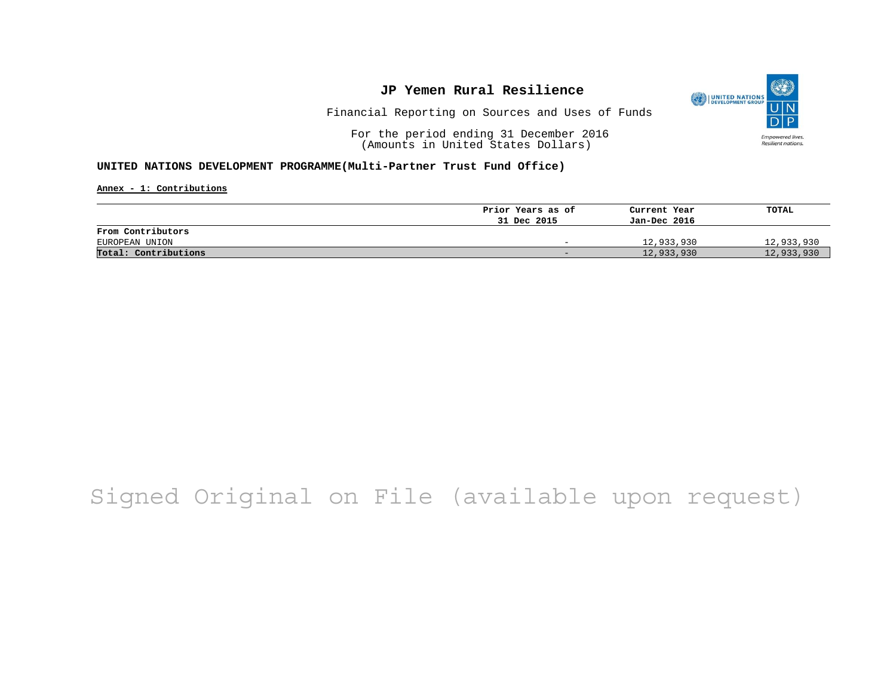

Financial Reporting on Sources and Uses of Funds

For the period ending 31 December 2016 (Amounts in United States Dollars)

#### **UNITED NATIONS DEVELOPMENT PROGRAMME(Multi-Partner Trust Fund Office)**

**Annex - 1: Contributions**

|                      | Prior Years as of | Current Year | TOTAL      |
|----------------------|-------------------|--------------|------------|
|                      | 31 Dec 2015       | Jan-Dec 2016 |            |
| From Contributors    |                   |              |            |
| EUROPEAN UNION       | $-$               | 12,933,930   | 12,933,930 |
| Total: Contributions | -                 | 12,933,930   | 12,933,930 |

# Signed Original on File (available upon request)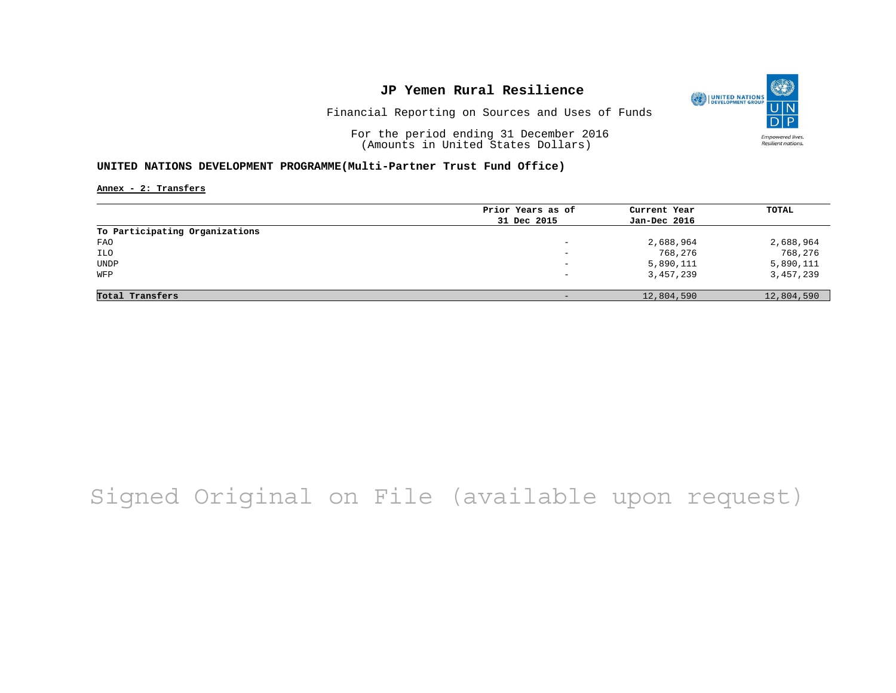

Financial Reporting on Sources and Uses of Funds

For the period ending 31 December 2016 (Amounts in United States Dollars)

#### **UNITED NATIONS DEVELOPMENT PROGRAMME(Multi-Partner Trust Fund Office)**

**Annex - 2: Transfers**

|                                | Prior Years as of | Current Year | TOTAL      |
|--------------------------------|-------------------|--------------|------------|
|                                |                   |              |            |
|                                | 31 Dec 2015       | Jan-Dec 2016 |            |
| To Participating Organizations |                   |              |            |
| FAO                            | -                 | 2,688,964    | 2,688,964  |
| ILO                            | -                 | 768,276      | 768,276    |
| <b>UNDP</b>                    | $\qquad \qquad -$ | 5,890,111    | 5,890,111  |
| WFP                            | -                 | 3,457,239    | 3,457,239  |
|                                |                   |              |            |
| Total Transfers                |                   | 12,804,590   | 12,804,590 |

# Signed Original on File (available upon request)